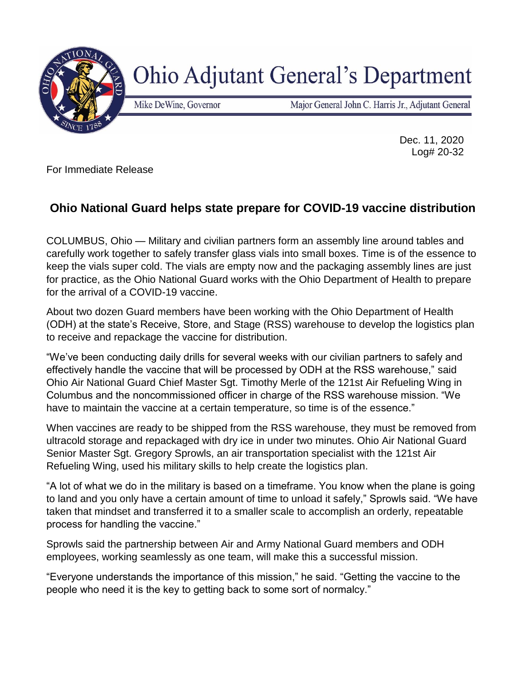

## **Ohio Adjutant General's Department**

Mike DeWine, Governor

Major General John C. Harris Jr., Adjutant General

Dec. 11, 2020 Log# 20-32

For Immediate Release

## **Ohio National Guard helps state prepare for COVID-19 vaccine distribution**

COLUMBUS, Ohio — Military and civilian partners form an assembly line around tables and carefully work together to safely transfer glass vials into small boxes. Time is of the essence to keep the vials super cold. The vials are empty now and the packaging assembly lines are just for practice, as the Ohio National Guard works with the Ohio Department of Health to prepare for the arrival of a COVID-19 vaccine.

About two dozen Guard members have been working with the Ohio Department of Health (ODH) at the state's Receive, Store, and Stage (RSS) warehouse to develop the logistics plan to receive and repackage the vaccine for distribution.

"We've been conducting daily drills for several weeks with our civilian partners to safely and effectively handle the vaccine that will be processed by ODH at the RSS warehouse," said Ohio Air National Guard Chief Master Sgt. Timothy Merle of the 121st Air Refueling Wing in Columbus and the noncommissioned officer in charge of the RSS warehouse mission. "We have to maintain the vaccine at a certain temperature, so time is of the essence."

When vaccines are ready to be shipped from the RSS warehouse, they must be removed from ultracold storage and repackaged with dry ice in under two minutes. Ohio Air National Guard Senior Master Sgt. Gregory Sprowls, an air transportation specialist with the 121st Air Refueling Wing, used his military skills to help create the logistics plan.

"A lot of what we do in the military is based on a timeframe. You know when the plane is going to land and you only have a certain amount of time to unload it safely," Sprowls said. "We have taken that mindset and transferred it to a smaller scale to accomplish an orderly, repeatable process for handling the vaccine."

Sprowls said the partnership between Air and Army National Guard members and ODH employees, working seamlessly as one team, will make this a successful mission.

"Everyone understands the importance of this mission," he said. "Getting the vaccine to the people who need it is the key to getting back to some sort of normalcy."